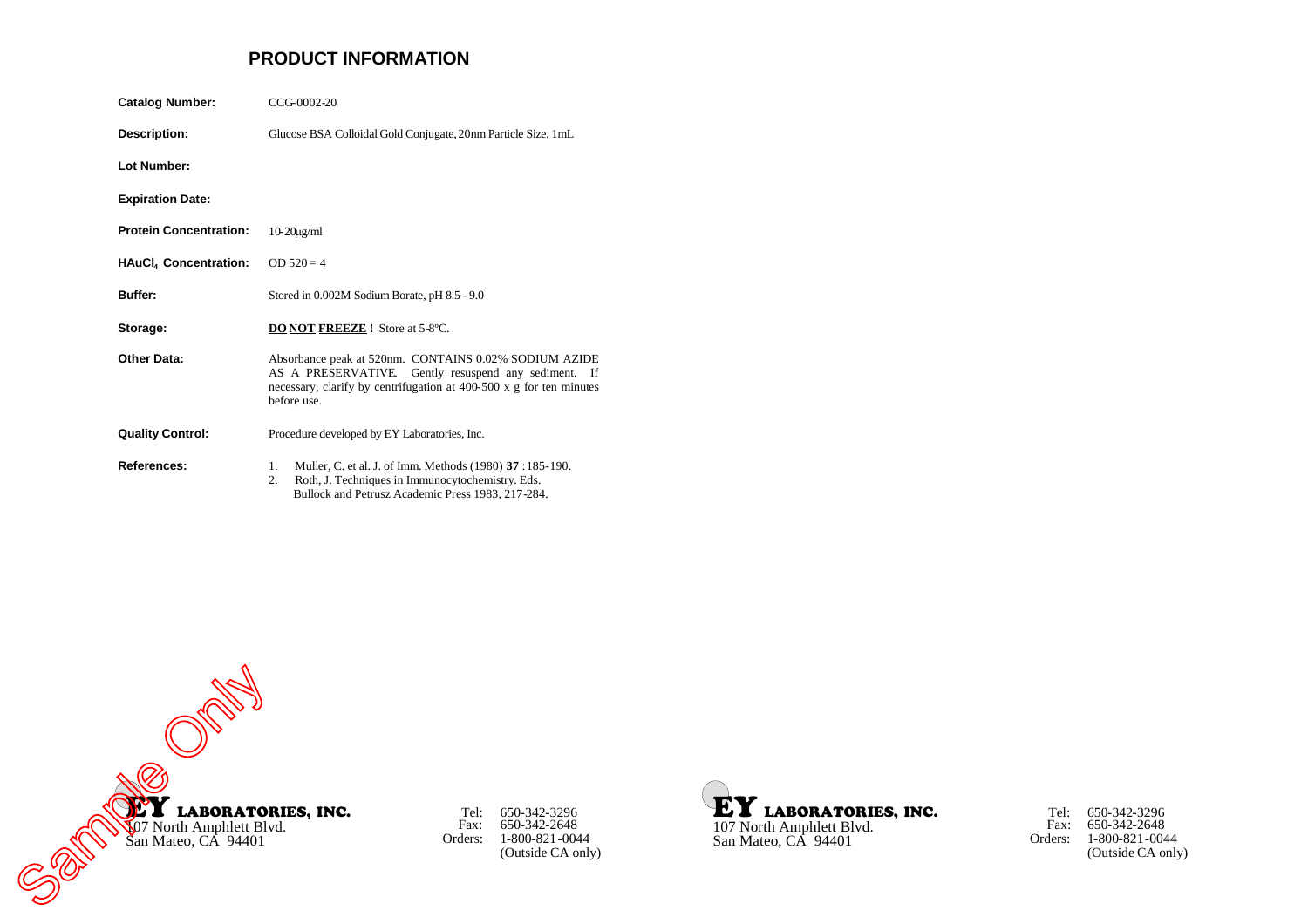# **PRODUCT INFORMATION**

| <b>Catalog Number:</b>        | CCG-0002-20                                                                                                                                                                                         |  |
|-------------------------------|-----------------------------------------------------------------------------------------------------------------------------------------------------------------------------------------------------|--|
| Description:                  | Glucose BSA Colloidal Gold Conjugate, 20nm Particle Size, 1mL                                                                                                                                       |  |
| Lot Number:                   |                                                                                                                                                                                                     |  |
| <b>Expiration Date:</b>       |                                                                                                                                                                                                     |  |
| <b>Protein Concentration:</b> | $10-20$ ug/ml                                                                                                                                                                                       |  |
| <b>HAuCl, Concentration:</b>  | $OD 520 = 4$                                                                                                                                                                                        |  |
| Buffer:                       | Stored in 0.002M Sodium Borate, pH 8.5 - 9.0                                                                                                                                                        |  |
| Storage:                      | <b>DO NOT FREEZE!</b> Store at 5-8°C.                                                                                                                                                               |  |
| Other Data:                   | Absorbance peak at 520nm. CONTAINS 0.02% SODIUM AZIDE<br>AS A PRESERVATIVE. Gently resuspend any sediment. If<br>necessary, clarify by centrifugation at 400-500 x g for ten minutes<br>before use. |  |
| <b>Quality Control:</b>       | Procedure developed by EY Laboratories, Inc.                                                                                                                                                        |  |
| References:                   | Muller, C. et al. J. of Imm. Methods (1980) 37:185-190.<br>1.<br>Roth, J. Techniques in Immunocytochemistry. Eds.<br>2.<br>Bullock and Petrusz Academic Press 1983, 217-284.                        |  |



Tel: Fax: Orders: 650-342-3296 650-342-2648 1-800-821-0044 (Outside CA only)



Tel: Fax: Orders: 650-342-3296 650-342-2648 1-800-821-0044 (Outside CA only)